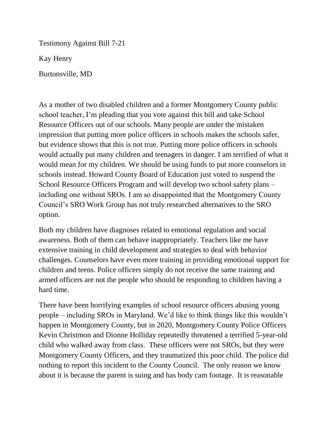Testimony Against Bill 7-21

Kay Henry

Burtonsville, MD

As a mother of two disabled children and a former Montgomery County public school teacher, I'm pleading that you vote against this bill and take School Resource Officers out of our schools. Many people are under the mistaken impression that putting more police officers in schools makes the schools safer, but evidence shows that this is not true. Putting more police officers in schools would actually put many children and teenagers in danger. I am terrified of what it would mean for my children. We should be using funds to put more counselors in schools instead. Howard County Board of Education just voted to suspend the School Resource Officers Program and will develop two school safety plans – including one without SROs. I am so disappointed that the Montgomery County Council's SRO Work Group has not truly researched alternatives to the SRO option.

Both my children have diagnoses related to emotional regulation and social awareness. Both of them can behave inappropriately. Teachers like me have extensive training in child development and strategies to deal with behavior challenges. Counselors have even more training in providing emotional support for children and teens. Police officers simply do not receive the same training and armed officers are not the people who should be responding to children having a hard time.

There have been horrifying examples of school resource officers abusing young people – including SROs in Maryland. We'd like to think things like this wouldn't happen in Montgomery County, but in 2020, Montgomery County Police Officers Kevin Christmon and Dionne Holliday repeatedly threatened a terrified 5-year-old child who walked away from class. These officers were not SROs, but they were Montgomery County Officers, and they traumatized this poor child. The police did nothing to report this incident to the County Council. The only reason we know about it is because the parent is suing and has body cam footage. It is reasonable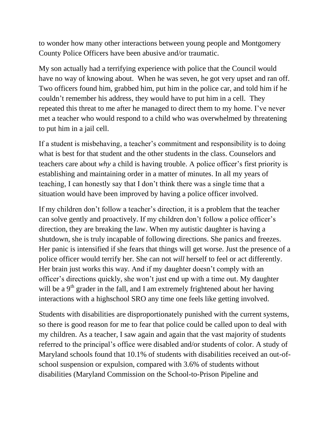to wonder how many other interactions between young people and Montgomery County Police Officers have been abusive and/or traumatic.

My son actually had a terrifying experience with police that the Council would have no way of knowing about. When he was seven, he got very upset and ran off. Two officers found him, grabbed him, put him in the police car, and told him if he couldn't remember his address, they would have to put him in a cell. They repeated this threat to me after he managed to direct them to my home. I've never met a teacher who would respond to a child who was overwhelmed by threatening to put him in a jail cell.

If a student is misbehaving, a teacher's commitment and responsibility is to doing what is best for that student and the other students in the class. Counselors and teachers care about *why* a child is having trouble. A police officer's first priority is establishing and maintaining order in a matter of minutes. In all my years of teaching, I can honestly say that I don't think there was a single time that a situation would have been improved by having a police officer involved.

If my children don't follow a teacher's direction, it is a problem that the teacher can solve gently and proactively. If my children don't follow a police officer's direction, they are breaking the law. When my autistic daughter is having a shutdown, she is truly incapable of following directions. She panics and freezes. Her panic is intensified if she fears that things will get worse. Just the presence of a police officer would terrify her. She can not *will* herself to feel or act differently. Her brain just works this way. And if my daughter doesn't comply with an officer's directions quickly, she won't just end up with a time out. My daughter will be a  $9<sup>th</sup>$  grader in the fall, and I am extremely frightened about her having interactions with a highschool SRO any time one feels like getting involved.

Students with disabilities are disproportionately punished with the current systems, so there is good reason for me to fear that police could be called upon to deal with my children. As a teacher, I saw again and again that the vast majority of students referred to the principal's office were disabled and/or students of color. A study of Maryland schools found that 10.1% of students with disabilities received an out-ofschool suspension or expulsion, compared with 3.6% of students without disabilities (Maryland Commission on the School-to-Prison Pipeline and